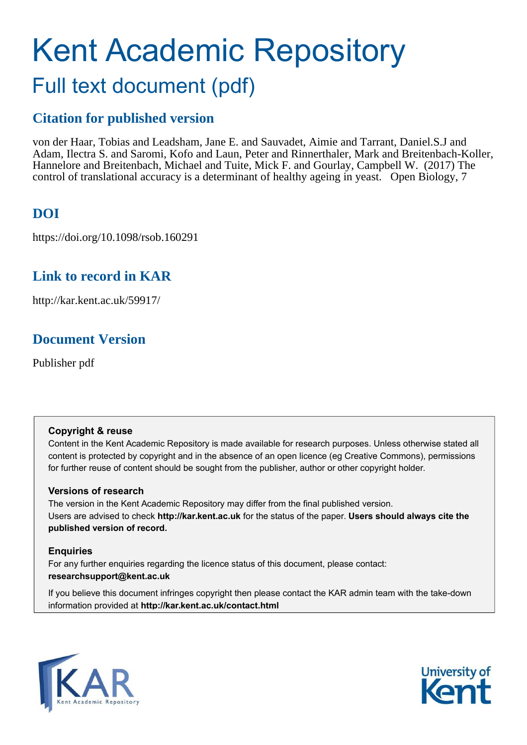# Kent Academic Repository Full text document (pdf)

## **Citation for published version**

von der Haar, Tobias and Leadsham, Jane E. and Sauvadet, Aimie and Tarrant, Daniel.S.J and Adam, Ilectra S. and Saromi, Kofo and Laun, Peter and Rinnerthaler, Mark and Breitenbach-Koller, Hannelore and Breitenbach, Michael and Tuite, Mick F. and Gourlay, Campbell W. (2017) The control of translational accuracy is a determinant of healthy ageing in yeast. Open Biology, 7

## **DOI**

https://doi.org/10.1098/rsob.160291

## **Link to record in KAR**

http://kar.kent.ac.uk/59917/

## **Document Version**

Publisher pdf

## **Copyright & reuse**

Content in the Kent Academic Repository is made available for research purposes. Unless otherwise stated all content is protected by copyright and in the absence of an open licence (eg Creative Commons), permissions for further reuse of content should be sought from the publisher, author or other copyright holder.

## **Versions of research**

The version in the Kent Academic Repository may differ from the final published version. Users are advised to check **http://kar.kent.ac.uk** for the status of the paper. **Users should always cite the published version of record.**

## **Enquiries**

For any further enquiries regarding the licence status of this document, please contact: **researchsupport@kent.ac.uk**

If you believe this document infringes copyright then please contact the KAR admin team with the take-down information provided at **http://kar.kent.ac.uk/contact.html**



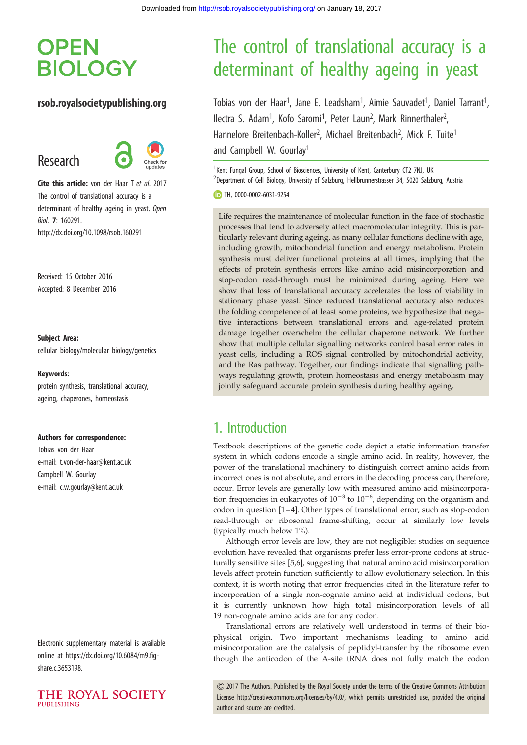## **OPEN BIOLOGY**

#### rsob.royalsocietypublishing.org

## Research



Cite this article: von der Haar T *et al*. 2017 The control of translational accuracy is a determinant of healthy ageing in yeast. *Open Biol.* 7: 160291. http://dx.doi.org/10.1098/rsob.160291

Received: 15 October 2016 Accepted: 8 December 2016

#### Subject Area:

cellular biology/molecular biology/genetics

#### Keywords:

protein synthesis, translational accuracy, ageing, chaperones, homeostasis

#### Authors for correspondence:

Tobias von der Haar e-mail: [t.von-der-haar@kent.ac.uk](mailto:t.von-der-haar@kent.ac.uk) Campbell W. Gourlay e-mail: [c.w.gourlay@kent.ac.uk](mailto:c.w.gourlay@kent.ac.uk)

Electronic supplementary material is available online at [https://dx.doi.org/10.6084/m9.fig](https://dx.doi.org/10.6084/m9.figshare.c.3653198)[share.c.3653198.](https://dx.doi.org/10.6084/m9.figshare.c.3653198)



## The control of translational accuracy is a determinant of healthy ageing in yeast

Tobias von der Haar<sup>1</sup>, Jane E. Leadsham<sup>1</sup>, Aimie Sauvadet<sup>1</sup>, Daniel Tarrant<sup>1</sup> , llectra S. Adam<sup>1</sup>, Kofo Saromi<sup>1</sup>, Peter Laun<sup>2</sup>, Mark Rinnerthaler<sup>2</sup> .<br>ו Hannelore Breitenbach-Koller<sup>2</sup>, Michael Breitenbach<sup>2</sup>, Mick F. Tuite<sup>1</sup> and Campbell W. Gourlay<sup>1</sup>

<sup>1</sup> Kent Fungal Group, School of Biosciences, University of Kent, Canterbury CT2 7NJ, UK <sup>2</sup>Department of Cell Biology, University of Salzburg, Hellbrunnerstrasser 34, 5020 Salzburg, Austria

TH, [0000-0002-6031-9254](http://orcid.org/0000-0002-6031-9254)

Life requires the maintenance of molecular function in the face of stochastic processes that tend to adversely affect macromolecular integrity. This is particularly relevant during ageing, as many cellular functions decline with age, including growth, mitochondrial function and energy metabolism. Protein synthesis must deliver functional proteins at all times, implying that the effects of protein synthesis errors like amino acid misincorporation and stop-codon read-through must be minimized during ageing. Here we show that loss of translational accuracy accelerates the loss of viability in stationary phase yeast. Since reduced translational accuracy also reduces the folding competence of at least some proteins, we hypothesize that negative interactions between translational errors and age-related protein damage together overwhelm the cellular chaperone network. We further show that multiple cellular signalling networks control basal error rates in yeast cells, including a ROS signal controlled by mitochondrial activity, and the Ras pathway. Together, our findings indicate that signalling pathways regulating growth, protein homeostasis and energy metabolism may jointly safeguard accurate protein synthesis during healthy ageing.

## 1. Introduction

Textbook descriptions of the genetic code depict a static information transfer system in which codons encode a single amino acid. In reality, however, the power of the translational machinery to distinguish correct amino acids from incorrect ones is not absolute, and errors in the decoding process can, therefore, occur. Error levels are generally low with measured amino acid misincorporation frequencies in eukaryotes of  $10^{-3}$  to  $10^{-6}$ , depending on the organism and codon in question  $[1-4]$  $[1-4]$  $[1-4]$ . Other types of translational error, such as stop-codon read-through or ribosomal frame-shifting, occur at similarly low levels (typically much below 1%).

Although error levels are low, they are not negligible: studies on sequence evolution have revealed that organisms prefer less error-prone codons at structurally sensitive sites [[5](#page-10-0),[6](#page-10-0)], suggesting that natural amino acid misincorporation levels affect protein function sufficiently to allow evolutionary selection. In this context, it is worth noting that error frequencies cited in the literature refer to incorporation of a single non-cognate amino acid at individual codons, but it is currently unknown how high total misincorporation levels of all 19 non-cognate amino acids are for any codon.

Translational errors are relatively well understood in terms of their biophysical origin. Two important mechanisms leading to amino acid misincorporation are the catalysis of peptidyl-transfer by the ribosome even though the anticodon of the A-site tRNA does not fully match the codon

& 2017 The Authors. Published by the Royal Society under the terms of the Creative Commons Attribution License [http://creativecommons.org/licenses/by/4.0/, which permits unrestricted use, provided the original](http://creativecommons.org/licenses/by/4.0/) [author and source are credited.](http://creativecommons.org/licenses/by/4.0/)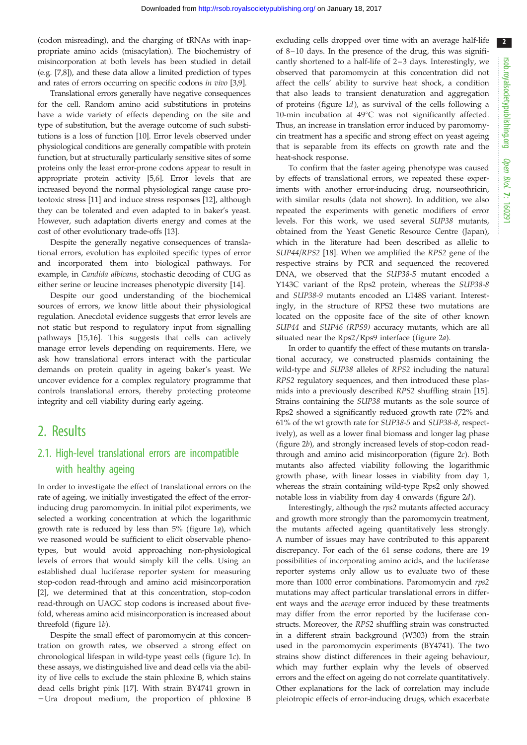2

<span id="page-2-0"></span>(codon misreading), and the charging of tRNAs with inappropriate amino acids (misacylation). The biochemistry of misincorporation at both levels has been studied in detail (e.g. [[7,8\]](#page-10-0)), and these data allow a limited prediction of types and rates of errors occurring on specific codons in vivo [[3,9\]](#page-10-0).

Translational errors generally have negative consequences for the cell. Random amino acid substitutions in proteins have a wide variety of effects depending on the site and type of substitution, but the average outcome of such substitutions is a loss of function [[10](#page-10-0)]. Error levels observed under physiological conditions are generally compatible with protein function, but at structurally particularly sensitive sites of some proteins only the least error-prone codons appear to result in appropriate protein activity [\[5,6](#page-10-0)]. Error levels that are increased beyond the normal physiological range cause proteotoxic stress [[11](#page-10-0)] and induce stress responses [[12\]](#page-10-0), although they can be tolerated and even adapted to in baker's yeast. However, such adaptation diverts energy and comes at the cost of other evolutionary trade-offs [[13\]](#page-10-0).

Despite the generally negative consequences of translational errors, evolution has exploited specific types of error and incorporated them into biological pathways. For example, in Candida albicans, stochastic decoding of CUG as either serine or leucine increases phenotypic diversity [[14\]](#page-10-0).

Despite our good understanding of the biochemical sources of errors, we know little about their physiological regulation. Anecdotal evidence suggests that error levels are not static but respond to regulatory input from signalling pathways [\[15,16](#page-10-0)]. This suggests that cells can actively manage error levels depending on requirements. Here, we ask how translational errors interact with the particular demands on protein quality in ageing baker's yeast. We uncover evidence for a complex regulatory programme that controls translational errors, thereby protecting proteome integrity and cell viability during early ageing.

## 2. Results

## 2.1. High-level translational errors are incompatible with healthy ageing

In order to investigate the effect of translational errors on the rate of ageing, we initially investigated the effect of the errorinducing drug paromomycin. In initial pilot experiments, we selected a working concentration at which the logarithmic growth rate is reduced by less than 5% (figure 1a), which we reasoned would be sufficient to elicit observable phenotypes, but would avoid approaching non-physiological levels of errors that would simply kill the cells. Using an established dual luciferase reporter system for measuring stop-codon read-through and amino acid misincorporation [\[2\]](#page-10-0), we determined that at this concentration, stop-codon read-through on UAGC stop codons is increased about fivefold, whereas amino acid misincorporation is increased about threefold (figure 1b).

Despite the small effect of paromomycin at this concentration on growth rates, we observed a strong effect on chronological lifespan in wild-type yeast cells (figure 1c). In these assays, we distinguished live and dead cells via the ability of live cells to exclude the stain phloxine B, which stains dead cells bright pink [\[17](#page-10-0)]. With strain BY4741 grown in  $-Ura$  dropout medium, the proportion of phloxine B

excluding cells dropped over time with an average half-life of 8–10 days. In the presence of the drug, this was significantly shortened to a half-life of 2-3 days. Interestingly, we observed that paromomycin at this concentration did not affect the cells' ability to survive heat shock, a condition that also leads to transient denaturation and aggregation of proteins (figure 1d), as survival of the cells following a 10-min incubation at  $49^{\circ}$ C was not significantly affected. Thus, an increase in translation error induced by paromomycin treatment has a specific and strong effect on yeast ageing that is separable from its effects on growth rate and the heat-shock response.

To confirm that the faster ageing phenotype was caused by effects of translational errors, we repeated these experiments with another error-inducing drug, nourseothricin, with similar results (data not shown). In addition, we also repeated the experiments with genetic modifiers of error levels. For this work, we used several SUP38 mutants, obtained from the Yeast Genetic Resource Centre (Japan), which in the literature had been described as allelic to SUP44/RPS2 [[18\]](#page-10-0). When we amplified the RPS2 gene of the respective strains by PCR and sequenced the recovered DNA, we observed that the SUP38-5 mutant encoded a Y143C variant of the Rps2 protein, whereas the SUP38-8 and SUP38-9 mutants encoded an L148S variant. Interestingly, in the structure of RPS2 these two mutations are located on the opposite face of the site of other known SUP44 and SUP46 (RPS9) accuracy mutants, which are all situated near the Rps2/Rps9 interface ([figure 2](#page-3-0)a).

In order to quantify the effect of these mutants on translational accuracy, we constructed plasmids containing the wild-type and SUP38 alleles of RPS2 including the natural RPS2 regulatory sequences, and then introduced these plasmids into a previously described RPS2 shuffling strain [[15\]](#page-10-0). Strains containing the SUP38 mutants as the sole source of Rps2 showed a significantly reduced growth rate (72% and 61% of the wt growth rate for SUP38-5 and SUP38-8, respectively), as well as a lower final biomass and longer lag phase ([figure 2](#page-3-0)b), and strongly increased levels of stop-codon readthrough and amino acid misincorporation [\(figure 2](#page-3-0)c). Both mutants also affected viability following the logarithmic growth phase, with linear losses in viability from day 1, whereas the strain containing wild-type Rps2 only showed notable loss in viability from day 4 onwards [\(figure 2](#page-3-0)d).

Interestingly, although the rps2 mutants affected accuracy and growth more strongly than the paromomycin treatment, the mutants affected ageing quantitatively less strongly. A number of issues may have contributed to this apparent discrepancy. For each of the 61 sense codons, there are 19 possibilities of incorporating amino acids, and the luciferase reporter systems only allow us to evaluate two of these more than 1000 error combinations. Paromomycin and rps2 mutations may affect particular translational errors in different ways and the average error induced by these treatments may differ from the error reported by the luciferase constructs. Moreover, the RPS2 shuffling strain was constructed in a different strain background (W303) from the strain used in the paromomycin experiments (BY4741). The two strains show distinct differences in their ageing behaviour, which may further explain why the levels of observed errors and the effect on ageing do not correlate quantitatively. Other explanations for the lack of correlation may include pleiotropic effects of error-inducing drugs, which exacerbate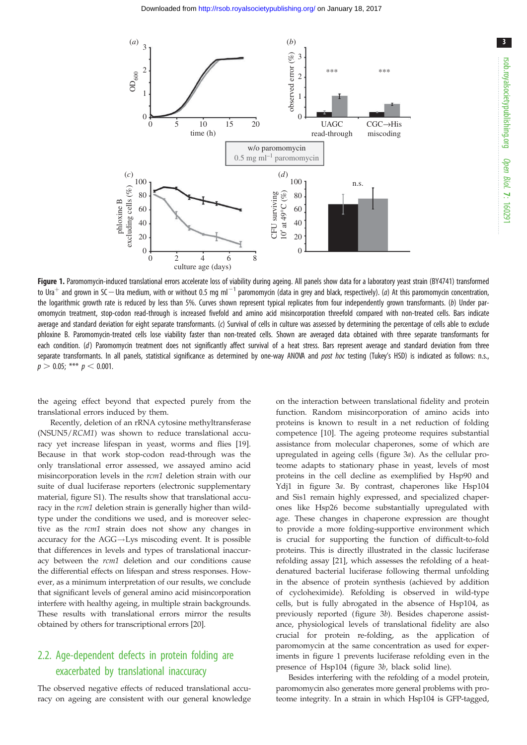3

<span id="page-3-0"></span>

Figure 1. Paromomycin-induced translational errors accelerate loss of viability during ageing. All panels show data for a laboratory yeast strain (BY4741) transformed to Ura<sup>+</sup> and grown in SC — Ura medium, with or without 0.5 mg ml<sup>-1</sup> paromomycin (data in grey and black, respectively). (*a*) At this paromomycin concentration, the logarithmic growth rate is reduced by less than 5%. Curves shown represent typical replicates from four independently grown transformants. (*b*) Under paromomycin treatment, stop-codon read-through is increased fivefold and amino acid misincorporation threefold compared with non-treated cells. Bars indicate average and standard deviation for eight separate transformants. (*c*) Survival of cells in culture was assessed by determining the percentage of cells able to exclude phloxine B. Paromomycin-treated cells lose viability faster than non-treated cells. Shown are averaged data obtained with three separate transformants for each condition. (*d*) Paromomycin treatment does not significantly affect survival of a heat stress. Bars represent average and standard deviation from three separate transformants. In all panels, statistical significance as determined by one-way ANOVA and *post hoc* testing (Tukey's HSD) is indicated as follows: n.s.,  $p > 0.05$ ; \*\*\*  $p < 0.001$ .

the ageing effect beyond that expected purely from the translational errors induced by them.

Recently, deletion of an rRNA cytosine methyltransferase (NSUN5/RCM1) was shown to reduce translational accuracy yet increase lifespan in yeast, worms and flies [\[19](#page-10-0)]. Because in that work stop-codon read-through was the only translational error assessed, we assayed amino acid misincorporation levels in the rcm1 deletion strain with our suite of dual luciferase reporters (electronic supplementary material, figure S1). The results show that translational accuracy in the rcm1 deletion strain is generally higher than wildtype under the conditions we used, and is moreover selective as the rcm1 strain does not show any changes in accuracy for the  $AGG \rightarrow Lys$  miscoding event. It is possible that differences in levels and types of translational inaccuracy between the rcm1 deletion and our conditions cause the differential effects on lifespan and stress responses. However, as a minimum interpretation of our results, we conclude that significant levels of general amino acid misincorporation interfere with healthy ageing, in multiple strain backgrounds. These results with translational errors mirror the results obtained by others for transcriptional errors [\[20](#page-10-0)].

## 2.2. Age-dependent defects in protein folding are exacerbated by translational inaccuracy

The observed negative effects of reduced translational accuracy on ageing are consistent with our general knowledge on the interaction between translational fidelity and protein function. Random misincorporation of amino acids into proteins is known to result in a net reduction of folding competence [\[10](#page-10-0)]. The ageing proteome requires substantial assistance from molecular chaperones, some of which are upregulated in ageing cells [\(figure 3](#page-4-0)a). As the cellular proteome adapts to stationary phase in yeast, levels of most proteins in the cell decline as exemplified by Hsp90 and Ydj1 in [figure 3](#page-4-0)a. By contrast, chaperones like Hsp104 and Sis1 remain highly expressed, and specialized chaperones like Hsp26 become substantially upregulated with age. These changes in chaperone expression are thought to provide a more folding-supportive environment which is crucial for supporting the function of difficult-to-fold proteins. This is directly illustrated in the classic luciferase refolding assay [[21\]](#page-10-0), which assesses the refolding of a heatdenatured bacterial luciferase following thermal unfolding in the absence of protein synthesis (achieved by addition of cycloheximide). Refolding is observed in wild-type cells, but is fully abrogated in the absence of Hsp104, as previously reported ([figure 3](#page-4-0)b). Besides chaperone assistance, physiological levels of translational fidelity are also crucial for protein re-folding, as the application of paromomycin at the same concentration as used for experiments in [figure 1](#page-2-0) prevents luciferase refolding even in the presence of Hsp104 [\(figure 3](#page-4-0)b, black solid line).

Besides interfering with the refolding of a model protein, paromomycin also generates more general problems with proteome integrity. In a strain in which Hsp104 is GFP-tagged,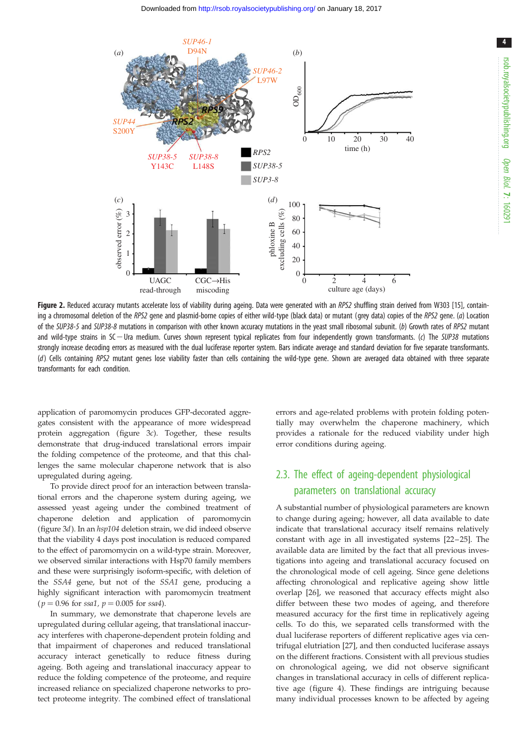<span id="page-4-0"></span>

Figure 2. Reduced accuracy mutants accelerate loss of viability during ageing. Data were generated with an RPS2 shuffling strain derived from W303 [\[15\]](#page-10-0), containing a chromosomal deletion of the *RPS2* gene and plasmid-borne copies of either wild-type (black data) or mutant (grey data) copies of the *RPS2* gene. (*a*) Location of the *SUP38-5* and *SUP38-8* mutations in comparison with other known accuracy mutations in the yeast small ribosomal subunit. (*b*) Growth rates of *RPS2* mutant and wild-type strains in SC-Ura medium. Curves shown represent typical replicates from four independently grown transformants. (c) The *SUP38* mutations strongly increase decoding errors as measured with the dual luciferase reporter system. Bars indicate average and standard deviation for five separate transformants. (*d*) Cells containing *RPS2* mutant genes lose viability faster than cells containing the wild-type gene. Shown are averaged data obtained with three separate transformants for each condition.

application of paromomycin produces GFP-decorated aggregates consistent with the appearance of more widespread protein aggregation (figure 3c). Together, these results demonstrate that drug-induced translational errors impair the folding competence of the proteome, and that this challenges the same molecular chaperone network that is also upregulated during ageing.

To provide direct proof for an interaction between translational errors and the chaperone system during ageing, we assessed yeast ageing under the combined treatment of chaperone deletion and application of paromomycin (figure 3d). In an hsp104 deletion strain, we did indeed observe that the viability 4 days post inoculation is reduced compared to the effect of paromomycin on a wild-type strain. Moreover, we observed similar interactions with Hsp70 family members and these were surprisingly isoform-specific, with deletion of the SSA4 gene, but not of the SSA1 gene, producing a highly significant interaction with paromomycin treatment  $(p = 0.96$  for ssa1,  $p = 0.005$  for ssa4).

In summary, we demonstrate that chaperone levels are upregulated during cellular ageing, that translational inaccuracy interferes with chaperone-dependent protein folding and that impairment of chaperones and reduced translational accuracy interact genetically to reduce fitness during ageing. Both ageing and translational inaccuracy appear to reduce the folding competence of the proteome, and require increased reliance on specialized chaperone networks to protect proteome integrity. The combined effect of translational

errors and age-related problems with protein folding potentially may overwhelm the chaperone machinery, which provides a rationale for the reduced viability under high error conditions during ageing.

## 2.3. The effect of ageing-dependent physiological parameters on translational accuracy

A substantial number of physiological parameters are known to change during ageing; however, all data available to date indicate that translational accuracy itself remains relatively constant with age in all investigated systems [\[22](#page-10-0) –[25\]](#page-10-0). The available data are limited by the fact that all previous investigations into ageing and translational accuracy focused on the chronological mode of cell ageing. Since gene deletions affecting chronological and replicative ageing show little overlap [[26\]](#page-10-0), we reasoned that accuracy effects might also differ between these two modes of ageing, and therefore measured accuracy for the first time in replicatively ageing cells. To do this, we separated cells transformed with the dual luciferase reporters of different replicative ages via centrifugal elutriation [[27\]](#page-10-0), and then conducted luciferase assays on the different fractions. Consistent with all previous studies on chronological ageing, we did not observe significant changes in translational accuracy in cells of different replicative age ([figure 4\)](#page-5-0). These findings are intriguing because many individual processes known to be affected by ageing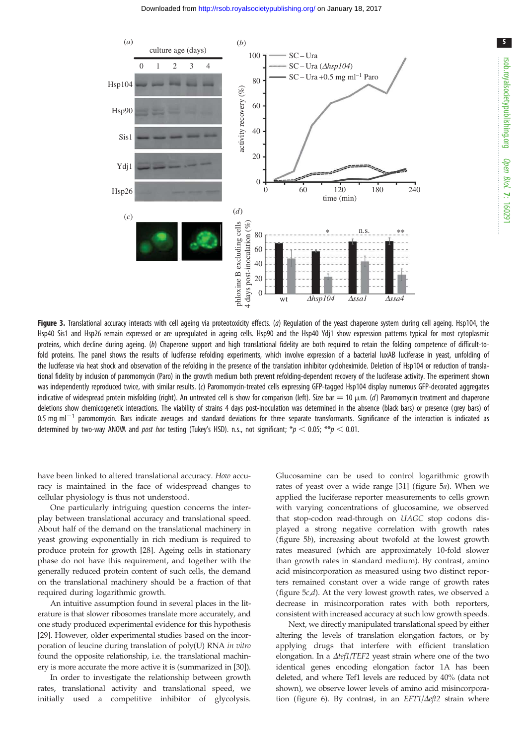<span id="page-5-0"></span>

Figure 3. Translational accuracy interacts with cell ageing via proteotoxicity effects. (*a*) Regulation of the yeast chaperone system during cell ageing. Hsp104, the Hsp40 Sis1 and Hsp26 remain expressed or are upregulated in ageing cells. Hsp90 and the Hsp40 Ydj1 show expression patterns typical for most cytoplasmic proteins, which decline during ageing. (*b*) Chaperone support and high translational fidelity are both required to retain the folding competence of difficult-tofold proteins. The panel shows the results of luciferase refolding experiments, which involve expression of a bacterial luxAB luciferase in yeast, unfolding of the luciferase via heat shock and observation of the refolding in the presence of the translation inhibitor cycloheximide. Deletion of Hsp104 or reduction of translational fidelity by inclusion of paromomycin (Paro) in the growth medium both prevent refolding-dependent recovery of the luciferase activity. The experiment shown was independently reproduced twice, with similar results. (*c*) Paromomycin-treated cells expressing GFP-tagged Hsp104 display numerous GFP-decorated aggregates indicative of widespread protein misfolding (right). An untreated cell is show for comparison (left). Size bar  $= 10 \mu m$ . (*d*) Paromomycin treatment and chaperone deletions show chemicogenetic interactions. The viability of strains 4 days post-inoculation was determined in the absence (black bars) or presence (grey bars) of 0.5 mg m $I^{-1}$  paromomycin. Bars indicate averages and standard deviations for three separate transformants. Significance of the interaction is indicated as determined by two-way ANOVA and *post hoc* testing (Tukey's HSD). n.s., not significant;  $*p < 0.05$ ; \*\* $p < 0.01$ .

have been linked to altered translational accuracy. How accuracy is maintained in the face of widespread changes to cellular physiology is thus not understood.

One particularly intriguing question concerns the interplay between translational accuracy and translational speed. About half of the demand on the translational machinery in yeast growing exponentially in rich medium is required to produce protein for growth [\[28](#page-10-0)]. Ageing cells in stationary phase do not have this requirement, and together with the generally reduced protein content of such cells, the demand on the translational machinery should be a fraction of that required during logarithmic growth.

An intuitive assumption found in several places in the literature is that slower ribosomes translate more accurately, and one study produced experimental evidence for this hypothesis [\[29](#page-10-0)]. However, older experimental studies based on the incorporation of leucine during translation of poly(U) RNA in vitro found the opposite relationship, i.e. the translational machinery is more accurate the more active it is (summarized in [[30\]](#page-10-0)).

In order to investigate the relationship between growth rates, translational activity and translational speed, we initially used a competitive inhibitor of glycolysis. Glucosamine can be used to control logarithmic growth rates of yeast over a wide range [\[31](#page-10-0)] ([figure 5](#page-6-0)a). When we applied the luciferase reporter measurements to cells grown with varying concentrations of glucosamine, we observed that stop-codon read-through on UAGC stop codons displayed a strong negative correlation with growth rates ([figure 5](#page-6-0)b), increasing about twofold at the lowest growth rates measured (which are approximately 10-fold slower than growth rates in standard medium). By contrast, amino acid misincorporation as measured using two distinct reporters remained constant over a wide range of growth rates (figure  $5c,d$ ). At the very lowest growth rates, we observed a decrease in misincorporation rates with both reporters, consistent with increased accuracy at such low growth speeds.

Next, we directly manipulated translational speed by either altering the levels of translation elongation factors, or by applying drugs that interfere with efficient translation elongation. In a  $\Delta t$ ef1/TEF2 yeast strain where one of the two identical genes encoding elongation factor 1A has been deleted, and where Tef1 levels are reduced by 40% (data not shown), we observe lower levels of amino acid misincorporation ([figure 6](#page-7-0)). By contrast, in an  $EFT1/\Delta eft2$  strain where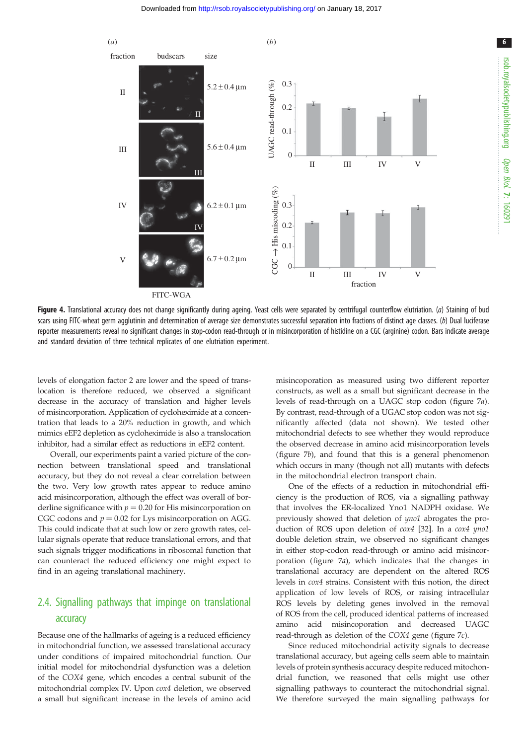<span id="page-6-0"></span>

Figure 4. Translational accuracy does not change significantly during ageing. Yeast cells were separated by centrifugal counterflow elutriation. (*a*) Staining of bud scars using FITC-wheat germ agglutinin and determination of average size demonstrates successful separation into fractions of distinct age classes. (*b*) Dual luciferase reporter measurements reveal no significant changes in stop-codon read-through or in misincorporation of histidine on a CGC (arginine) codon. Bars indicate average and standard deviation of three technical replicates of one elutriation experiment.

levels of elongation factor 2 are lower and the speed of translocation is therefore reduced, we observed a significant decrease in the accuracy of translation and higher levels of misincorporation. Application of cycloheximide at a concentration that leads to a 20% reduction in growth, and which mimics eEF2 depletion as cycloheximide is also a translocation inhibitor, had a similar effect as reductions in eEF2 content.

Overall, our experiments paint a varied picture of the connection between translational speed and translational accuracy, but they do not reveal a clear correlation between the two. Very low growth rates appear to reduce amino acid misincorporation, although the effect was overall of borderline significance with  $p = 0.20$  for His misincorporation on CGC codons and  $p = 0.02$  for Lys misincorporation on AGG. This could indicate that at such low or zero growth rates, cellular signals operate that reduce translational errors, and that such signals trigger modifications in ribosomal function that can counteract the reduced efficiency one might expect to find in an ageing translational machinery.

## 2.4. Signalling pathways that impinge on translational accuracy

Because one of the hallmarks of ageing is a reduced efficiency in mitochondrial function, we assessed translational accuracy under conditions of impaired mitochondrial function. Our initial model for mitochondrial dysfunction was a deletion of the COX4 gene, which encodes a central subunit of the mitochondrial complex IV. Upon cox4 deletion, we observed a small but significant increase in the levels of amino acid

misincoporation as measured using two different reporter constructs, as well as a small but significant decrease in the levels of read-through on a UAGC stop codon [\(figure 7](#page-7-0)a). By contrast, read-through of a UGAC stop codon was not significantly affected (data not shown). We tested other mitochondrial defects to see whether they would reproduce the observed decrease in amino acid misincorporation levels ([figure 7](#page-7-0)b), and found that this is a general phenomenon which occurs in many (though not all) mutants with defects in the mitochondrial electron transport chain.

One of the effects of a reduction in mitochondrial efficiency is the production of ROS, via a signalling pathway that involves the ER-localized Yno1 NADPH oxidase. We previously showed that deletion of yno1 abrogates the production of ROS upon deletion of cox4 [\[32](#page-10-0)]. In a cox4 yno1 double deletion strain, we observed no significant changes in either stop-codon read-through or amino acid misincorporation [\(figure 7](#page-7-0)a), which indicates that the changes in translational accuracy are dependent on the altered ROS levels in cox4 strains. Consistent with this notion, the direct application of low levels of ROS, or raising intracellular ROS levels by deleting genes involved in the removal of ROS from the cell, produced identical patterns of increased amino acid misincoporation and decreased UAGC read-through as deletion of the  $COX4$  gene (figure  $7c$ ).

Since reduced mitochondrial activity signals to decrease translational accuracy, but ageing cells seem able to maintain levels of protein synthesis accuracy despite reduced mitochondrial function, we reasoned that cells might use other signalling pathways to counteract the mitochondrial signal. We therefore surveyed the main signalling pathways for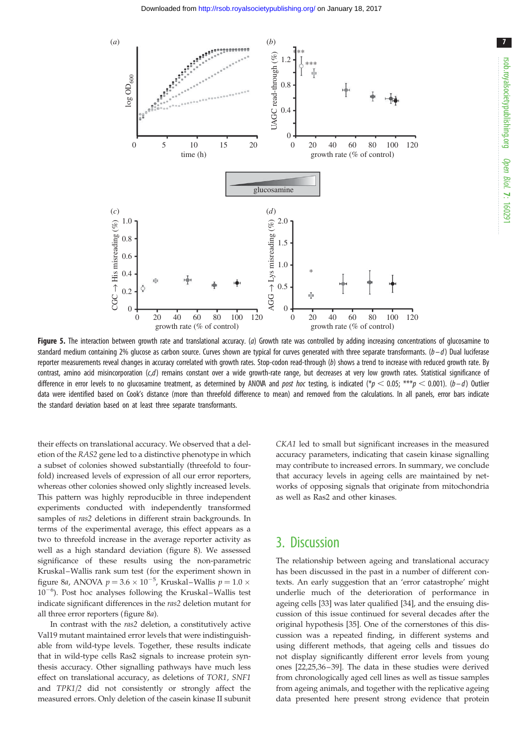<span id="page-7-0"></span>

Figure 5. The interaction between growth rate and translational accuracy. (*a*) Growth rate was controlled by adding increasing concentrations of glucosamine to standard medium containing 2% glucose as carbon source. Curves shown are typical for curves generated with three separate transformants. (*b*–*d*) Dual luciferase reporter measurements reveal changes in accuracy correlated with growth rates. Stop-codon read-through (*b*) shows a trend to increase with reduced growth rate. By contrast, amino acid misincorporation (*c*,*d*) remains constant over a wide growth-rate range, but decreases at very low growth rates. Statistical significance of difference in error levels to no glucosamine treatment, as determined by ANOVA and *post hoc* testing, is indicated (\* $p < 0.05$ ; \*\*\* $p < 0.001$ ). (*b*–*d*) Outlier data were identified based on Cook's distance (more than threefold difference to mean) and removed from the calculations. In all panels, error bars indicate the standard deviation based on at least three separate transformants.

their effects on translational accuracy. We observed that a deletion of the RAS2 gene led to a distinctive phenotype in which a subset of colonies showed substantially (threefold to fourfold) increased levels of expression of all our error reporters, whereas other colonies showed only slightly increased levels. This pattern was highly reproducible in three independent experiments conducted with independently transformed samples of ras2 deletions in different strain backgrounds. In terms of the experimental average, this effect appears as a two to threefold increase in the average reporter activity as well as a high standard deviation ([figure 8](#page-8-0)). We assessed significance of these results using the non-parametric Kruskal-Wallis rank sum test (for the experiment shown in [figure 8](#page-8-0)a, ANOVA  $p = 3.6 \times 10^{-5}$ , Kruskal–Wallis  $p = 1.0 \times$  $10^{-6}$ ). Post hoc analyses following the Kruskal–Wallis test indicate significant differences in the ras2 deletion mutant for all three error reporters [\(figure 8](#page-8-0)a).

In contrast with the ras2 deletion, a constitutively active Val19 mutant maintained error levels that were indistinguishable from wild-type levels. Together, these results indicate that in wild-type cells Ras2 signals to increase protein synthesis accuracy. Other signalling pathways have much less effect on translational accuracy, as deletions of TOR1, SNF1 and TPK1/2 did not consistently or strongly affect the measured errors. Only deletion of the casein kinase II subunit CKA1 led to small but significant increases in the measured accuracy parameters, indicating that casein kinase signalling may contribute to increased errors. In summary, we conclude that accuracy levels in ageing cells are maintained by networks of opposing signals that originate from mitochondria as well as Ras2 and other kinases.

## 3. Discussion

The relationship between ageing and translational accuracy has been discussed in the past in a number of different contexts. An early suggestion that an 'error catastrophe' might underlie much of the deterioration of performance in ageing cells [[33\]](#page-11-0) was later qualified [[34\]](#page-11-0), and the ensuing discussion of this issue continued for several decades after the original hypothesis [\[35](#page-11-0)]. One of the cornerstones of this discussion was a repeated finding, in different systems and using different methods, that ageing cells and tissues do not display significantly different error levels from young ones [[22,25](#page-10-0)[,36](#page-11-0) –[39](#page-11-0)]. The data in these studies were derived from chronologically aged cell lines as well as tissue samples from ageing animals, and together with the replicative ageing data presented here present strong evidence that protein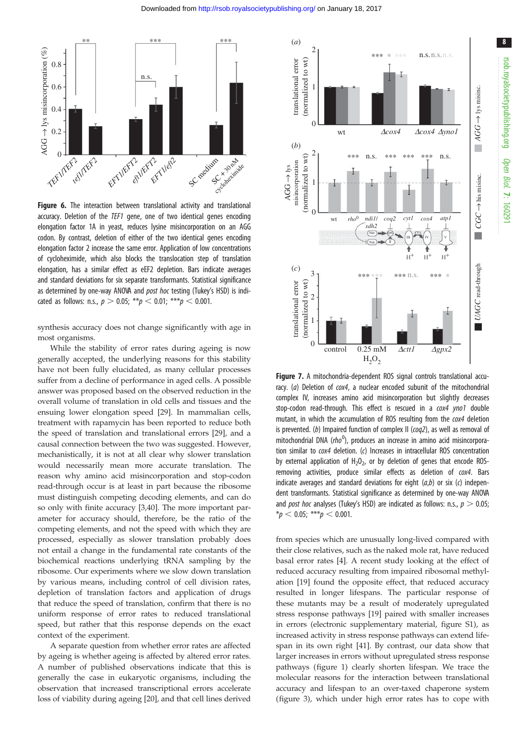<span id="page-8-0"></span>

Figure 6. The interaction between translational activity and translational accuracy. Deletion of the *TEF1* gene, one of two identical genes encoding elongation factor 1A in yeast, reduces lysine misincorporation on an AGG codon. By contrast, deletion of either of the two identical genes encoding elongation factor 2 increase the same error. Application of low concentrations of cycloheximide, which also blocks the translocation step of translation elongation, has a similar effect as eEF2 depletion. Bars indicate averages and standard deviations for six separate transformants. Statistical significance as determined by one-way ANOVA and *post hoc* testing (Tukey's HSD) is indicated as follows: n.s.,  $p > 0.05$ ; \*\* $p < 0.01$ ; \*\*\* $p < 0.001$ .

synthesis accuracy does not change significantly with age in most organisms.

While the stability of error rates during ageing is now generally accepted, the underlying reasons for this stability have not been fully elucidated, as many cellular processes suffer from a decline of performance in aged cells. A possible answer was proposed based on the observed reduction in the overall volume of translation in old cells and tissues and the ensuing lower elongation speed [\[29](#page-10-0)]. In mammalian cells, treatment with rapamycin has been reported to reduce both the speed of translation and translational errors [[29\]](#page-10-0), and a causal connection between the two was suggested. However, mechanistically, it is not at all clear why slower translation would necessarily mean more accurate translation. The reason why amino acid misincorporation and stop-codon read-through occur is at least in part because the ribosome must distinguish competing decoding elements, and can do so only with finite accuracy [\[3,](#page-10-0)[40](#page-11-0)]. The more important parameter for accuracy should, therefore, be the ratio of the competing elements, and not the speed with which they are processed, especially as slower translation probably does not entail a change in the fundamental rate constants of the biochemical reactions underlying tRNA sampling by the ribosome. Our experiments where we slow down translation by various means, including control of cell division rates, depletion of translation factors and application of drugs that reduce the speed of translation, confirm that there is no uniform response of error rates to reduced translational speed, but rather that this response depends on the exact context of the experiment.

A separate question from whether error rates are affected by ageing is whether ageing is affected by altered error rates. A number of published observations indicate that this is generally the case in eukaryotic organisms, including the observation that increased transcriptional errors accelerate loss of viability during ageing [[20\]](#page-10-0), and that cell lines derived



Figure 7. A mitochondria-dependent ROS signal controls translational accuracy. (*a*) Deletion of *cox4*, a nuclear encoded subunit of the mitochondrial complex IV, increases amino acid misincorporation but slightly decreases stop-codon read-through. This effect is rescued in a *cox4 yno1* double mutant, in which the accumulation of ROS resulting from the *cox4* deletion is prevented. (*b*) Impaired function of complex II (*coq2*), as well as removal of mitochondrial DNA (rho<sup>0</sup>), produces an increase in amino acid misincorporation similar to *cox4* deletion. (*c*) Increases in intracellular ROS concentration by external application of  $H_2O_2$ , or by deletion of genes that encode ROSremoving activities, produce similar effects as deletion of *cox4*. Bars indicate averages and standard deviations for eight (*a*,*b*) or six (*c*) independent transformants. Statistical significance as determined by one-way ANOVA and *post hoc* analyses (Tukey's HSD) are indicated as follows: n.s.,  $p > 0.05$ ;  $*_{p}$  < 0.05; \*\*\**p* < 0.001.

from species which are unusually long-lived compared with their close relatives, such as the naked mole rat, have reduced basal error rates [\[4\]](#page-10-0). A recent study looking at the effect of reduced accuracy resulting from impaired ribosomal methylation [[19](#page-10-0)] found the opposite effect, that reduced accuracy resulted in longer lifespans. The particular response of these mutants may be a result of moderately upregulated stress response pathways [\[19](#page-10-0)] paired with smaller increases in errors (electronic supplementary material, figure S1), as increased activity in stress response pathways can extend lifespan in its own right [[41\]](#page-11-0). By contrast, our data show that larger increases in errors without upregulated stress response pathways [\(figure 1](#page-2-0)) clearly shorten lifespan. We trace the molecular reasons for the interaction between translational accuracy and lifespan to an over-taxed chaperone system ([figure 3](#page-4-0)), which under high error rates has to cope with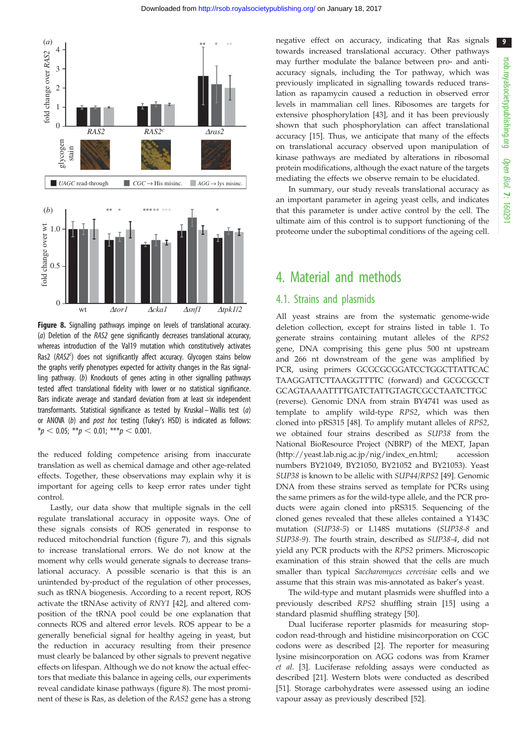

Figure 8. Signalling pathways impinge on levels of translational accuracy. (*a*) Deletion of the *RAS2* gene significantly decreases translational accuracy, whereas introduction of the Val19 mutation which constitutively activates Ras2 (*RAS2<sup>c</sup>* ) does not significantly affect accuracy. Glycogen stains below the graphs verify phenotypes expected for activity changes in the Ras signalling pathway. (*b*) Knockouts of genes acting in other signalling pathways tested affect translational fidelity with lower or no statistical significance. Bars indicate average and standard deviation from at least six independent transformants. Statistical significance as tested by Kruskal –Wallis test (*a*) or ANOVA (*b*) and *post hoc* testing (Tukey's HSD) is indicated as follows:  $*_p$  < 0.05;  $*_p$  < 0.01;  $**_p$  < 0.001.

the reduced folding competence arising from inaccurate translation as well as chemical damage and other age-related effects. Together, these observations may explain why it is important for ageing cells to keep error rates under tight control.

Lastly, our data show that multiple signals in the cell regulate translational accuracy in opposite ways. One of these signals consists of ROS generated in response to reduced mitochondrial function ([figure 7\)](#page-7-0), and this signals to increase translational errors. We do not know at the moment why cells would generate signals to decrease translational accuracy. A possible scenario is that this is an unintended by-product of the regulation of other processes, such as tRNA biogenesis. According to a recent report, ROS activate the tRNAse activity of RNY1 [\[42](#page-11-0)], and altered composition of the tRNA pool could be one explanation that connects ROS and altered error levels. ROS appear to be a generally beneficial signal for healthy ageing in yeast, but the reduction in accuracy resulting from their presence must clearly be balanced by other signals to prevent negative effects on lifespan. Although we do not know the actual effectors that mediate this balance in ageing cells, our experiments reveal candidate kinase pathways ([figure 8\)](#page-8-0). The most prominent of these is Ras, as deletion of the RAS2 gene has a strong

negative effect on accuracy, indicating that Ras signals towards increased translational accuracy. Other pathways may further modulate the balance between pro- and antiaccuracy signals, including the Tor pathway, which was previously implicated in signalling towards reduced translation as rapamycin caused a reduction in observed error levels in mammalian cell lines. Ribosomes are targets for extensive phosphorylation [\[43](#page-11-0)], and it has been previously shown that such phosphorylation can affect translational accuracy [[15\]](#page-10-0). Thus, we anticipate that many of the effects on translational accuracy observed upon manipulation of kinase pathways are mediated by alterations in ribosomal protein modifications, although the exact nature of the targets mediating the effects we observe remain to be elucidated.

In summary, our study reveals translational accuracy as an important parameter in ageing yeast cells, and indicates that this parameter is under active control by the cell. The ultimate aim of this control is to support functioning of the proteome under the suboptimal conditions of the ageing cell.

## 4. Material and methods

### 4.1. Strains and plasmids

All yeast strains are from the systematic genome-wide deletion collection, except for strains listed in table 1. To generate strains containing mutant alleles of the RPS2 gene, DNA comprising this gene plus 500 nt upstream and 266 nt downstream of the gene was amplified by PCR, using primers GCGCGCGGATCCTGGCTTATTCAC TAAGGATTCTTAAGGTTTTC (forward) and GCGCGCCT GCAGTAAAATTTTGATCTATTGTAGTCGCCTAATCTTGC (reverse). Genomic DNA from strain BY4741 was used as template to amplify wild-type RPS2, which was then cloned into pRS315 [\[48](#page-11-0)]. To amplify mutant alleles of RPS2, we obtained four strains described as SUP38 from the National BioResource Project (NBRP) of the MEXT, Japan ([http://yeast.lab.nig.ac.jp/nig/index\\_en.html](http://yeast.lab.nig.ac.jp/nig/index_en.html); accession numbers BY21049, BY21050, BY21052 and BY21053). Yeast SUP38 is known to be allelic with SUP44/RPS2 [[49\]](#page-11-0). Genomic DNA from these strains served as template for PCRs using the same primers as for the wild-type allele, and the PCR products were again cloned into pRS315. Sequencing of the cloned genes revealed that these alleles contained a Y143C mutation (SUP38-5) or L148S mutations (SUP38-8 and SUP38-9). The fourth strain, described as SUP38-4, did not yield any PCR products with the RPS2 primers. Microscopic examination of this strain showed that the cells are much smaller than typical Saccharomyces cerevisiae cells and we assume that this strain was mis-annotated as baker's yeast.

The wild-type and mutant plasmids were shuffled into a previously described RPS2 shuffling strain [[15\]](#page-10-0) using a standard plasmid shuffling strategy [[50\]](#page-11-0).

Dual luciferase reporter plasmids for measuring stopcodon read-through and histidine misincorporation on CGC codons were as described [[2](#page-10-0)]. The reporter for measuring lysine misincorporation on AGG codons was from Kramer et al. [[3](#page-10-0)]. Luciferase refolding assays were conducted as described [[21\]](#page-10-0). Western blots were conducted as described [[51\]](#page-11-0). Storage carbohydrates were assessed using an iodine vapour assay as previously described [\[52](#page-11-0)].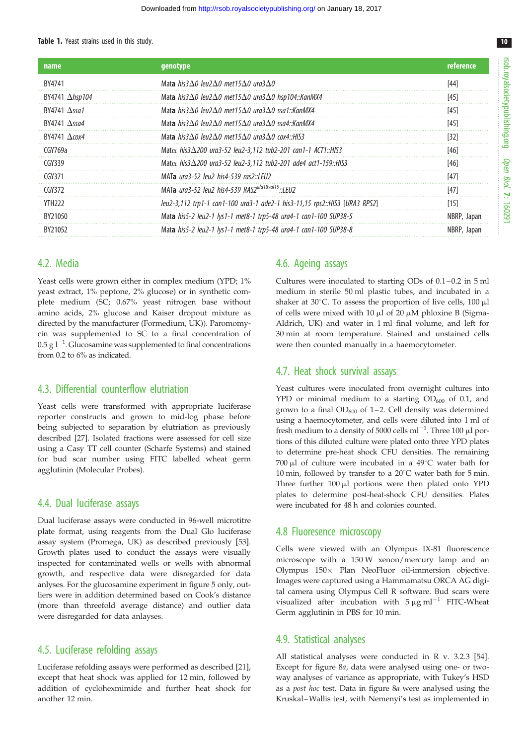#### <span id="page-10-0"></span>Table 1. Yeast strains used in this study.

| name                      | genotype                                                                                  | reference   |
|---------------------------|-------------------------------------------------------------------------------------------|-------------|
| BY4741                    | Mata his 3 $\Delta$ 0 leu $2\Delta$ 0 met 15 $\Delta$ 0 ura 3 $\Delta$ 0                  | [44]        |
| BY4741 $\Delta$ hsp104    | Mata his $3\Delta 0$ leu $2\Delta 0$ met $15\Delta 0$ ura $3\Delta 0$ hsp $104$ :: KanMX4 | [45]        |
| $BY4741$ $\Delta$ ssa1    | Mata his $3\Delta 0$ leu $2\Delta 0$ met $15\Delta 0$ urg $3\Delta 0$ ssg 1:: KanMX4      | [45]        |
| $BY4741$ $\triangle$ ssa4 | Mata his $3\Delta 0$ leu $2\Delta 0$ met $15\Delta 0$ urg $3\Delta 0$ ssg4:: KanMX4       | [45]        |
| $BY4741 \Delta$ COX4      | Mata his $3\Delta 0$ leu $2\Delta 0$ met $15\Delta 0$ urg $3\Delta 0$ cox4::HIS 3         | $[32]$      |
| CGY769a                   | Matα his3Δ200 ura3-52 leu2-3,112 tub2-201 can1-1 ACT1::HIS3                               | [46]        |
| CGY339                    | Mat $\alpha$ his 3 $\Delta$ 200 ura 3-52 leu 2-3, 112 tub 2-201 ade 4 act 1-159:: HIS 3   | $[46]$      |
| CGY371                    | MATa $\mu$ ra3-52 leu2 his4-539 ras2::1FU2                                                | 1471        |
| CGY372                    | MATa ura3-52 leu2 his4-539 RAS2 <sup>ala18val19</sup> ::LEU2                              | [47]        |
| YTH <sub>222</sub>        | leu2-3,112 trp1-1 can1-100 ura3-1 ade2-1 his3-11,15 rps2::HIS3 [URA3 RPS2]                | $[15]$      |
| BY21050                   | Mata his 5-2 leu 2-1 lys 1-1 met 8-1 trp 5-48 ura 4-1 can 1-100 SUP38-5                   | NBRP, Japan |
| BY21052                   | Mata his 5-2 leu 2-1 lys 1-1 met 8-1 trp 5-48 ura 4-1 can 1-100 SUP38-8                   | NBRP, Japan |

#### 4.2. Media

Yeast cells were grown either in complex medium (YPD; 1% yeast extract, 1% peptone, 2% glucose) or in synthetic complete medium (SC; 0.67% yeast nitrogen base without amino acids, 2% glucose and Kaiser dropout mixture as directed by the manufacturer (Formedium, UK)). Paromomycin was supplemented to SC to a final concentration of  $0.5 g l^{-1}$ . Glucosamine was supplemented to final concentrations from 0.2 to 6% as indicated.

#### 4.3. Differential counterflow elutriation

Yeast cells were transformed with appropriate luciferase reporter constructs and grown to mid-log phase before being subjected to separation by elutriation as previously described [27]. Isolated fractions were assessed for cell size using a Casy TT cell counter (Scharfe Systems) and stained for bud scar number using FITC labelled wheat germ agglutinin (Molecular Probes).

#### 4.4. Dual luciferase assays

Dual luciferase assays were conducted in 96-well microtitre plate format, using reagents from the Dual Glo luciferase assay system (Promega, UK) as described previously [\[53](#page-11-0)]. Growth plates used to conduct the assays were visually inspected for contaminated wells or wells with abnormal growth, and respective data were disregarded for data anlyses. For the glucosamine experiment in [figure 5](#page-6-0) only, outliers were in addition determined based on Cook's distance (more than threefold average distance) and outlier data were disregarded for data anlayses.

#### 4.5. Luciferase refolding assays

Luciferase refolding assays were performed as described [21], except that heat shock was applied for 12 min, followed by addition of cyclohexmimide and further heat shock for another 12 min.

#### 4.6. Ageing assays

Cultures were inoculated to starting ODs of  $0.1-0.2$  in  $5$  ml medium in sterile 50 ml plastic tubes, and incubated in a shaker at 30 $^{\circ}$ C. To assess the proportion of live cells, 100  $\mu$ l of cells were mixed with 10  $\mu$ l of 20  $\mu$ M phloxine B (Sigma-Aldrich, UK) and water in 1 ml final volume, and left for 30 min at room temperature. Stained and unstained cells were then counted manually in a haemocytometer.

#### 4.7. Heat shock survival assays

Yeast cultures were inoculated from overnight cultures into YPD or minimal medium to a starting  $OD_{600}$  of 0.1, and grown to a final  $OD_{600}$  of 1-2. Cell density was determined using a haemocytometer, and cells were diluted into 1 ml of fresh medium to a density of 5000 cells  $ml^{-1}$ . Three 100  $\mu$ l portions of this diluted culture were plated onto three YPD plates to determine pre-heat shock CFU densities. The remaining 700  $\mu$ l of culture were incubated in a 49 $\degree$ C water bath for 10 min, followed by transfer to a  $20^{\circ}$ C water bath for 5 min. Three further  $100 \mu l$  portions were then plated onto YPD plates to determine post-heat-shock CFU densities. Plates were incubated for 48 h and colonies counted.

#### 4.8 Fluoresence microscopy

Cells were viewed with an Olympus IX-81 fluorescence microscope with a 150 W xenon/mercury lamp and an Olympus 150× Plan NeoFluor oil-immersion objective. Images were captured using a Hammamatsu ORCA AG digital camera using Olympus Cell R software. Bud scars were visualized after incubation with  $5 \mu g$  ml<sup>-1</sup> FITC-Wheat Germ agglutinin in PBS for 10 min.

#### 4.9. Statistical analyses

All statistical analyses were conducted in R v. 3.2.3 [[54\]](#page-11-0). Except for [figure 8](#page-8-0)a, data were analysed using one- or twoway analyses of variance as appropriate, with Tukey's HSD as a post hoc test. Data in [figure 8](#page-8-0)a were analysed using the Kruskal –Wallis test, with Nemenyi's test as implemented in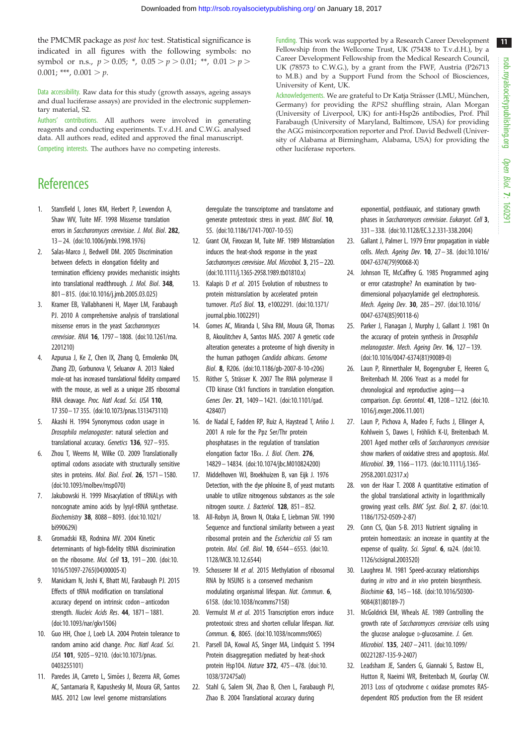11

<span id="page-11-0"></span>the PMCMR package as post hoc test. Statistical significance is indicated in all figures with the following symbols: no symbol or n.s.,  $p > 0.05$ ; \*,  $0.05 > p > 0.01$ ; \*\*,  $0.01 > p >$  $0.001;$  \*\*\*,  $0.001 > p$ .

Data accessibility. Raw data for this study (growth assays, ageing assays and dual luciferase assays) are provided in the electronic supplementary material, S2.

Authors' contributions. All authors were involved in generating reagents and conducting experiments. T.v.d.H. and C.W.G. analysed data. All authors read, edited and approved the final manuscript. Competing interests. The authors have no competing interests.

## **References**

- 1. Stansfield I, Jones KM, Herbert P, Lewendon A, Shaw WV, Tuite MF. 1998 Missense translation errors in *Saccharomyces cerevisiae*. *J. Mol. Biol*. 282, 13 – 24. ([doi:10.1006/jmbi.1998.1976](http://dx.doi.org/10.1006/jmbi.1998.1976))
- 2. Salas-Marco J, Bedwell DM. 2005 Discrimination between defects in elongation fidelity and termination efficiency provides mechanistic insights into translational readthrough. *J. Mol. Biol*. 348, 801– 815. ([doi:10.1016/j.jmb.2005.03.025\)](http://dx.doi.org/10.1016/j.jmb.2005.03.025)
- 3. Kramer EB, Vallabhaneni H, Mayer LM, Farabaugh PJ. 2010 A comprehensive analysis of translational missense errors in the yeast *Saccharomyces cerevisiae*. *RNA* 16, 1797– 1808. [\(doi:10.1261/rna.](http://dx.doi.org/10.1261/rna.2201210) [2201210\)](http://dx.doi.org/10.1261/rna.2201210)
- 4. Azpurua J, Ke Z, Chen IX, Zhang Q, Ermolenko DN, Zhang ZD, Gorbunova V, Seluanov A. 2013 Naked mole-rat has increased translational fidelity compared with the mouse, as well as a unique 28S ribosomal RNA cleavage. *Proc. Natl Acad. Sci. USA* 110, 17 350–17 355. [\(doi:10.1073/pnas.1313473110\)](http://dx.doi.org/10.1073/pnas.1313473110)
- 5. Akashi H. 1994 Synonymous codon usage in *Drosophila melanogaster*: natural selection and translational accuracy. *Genetics* 136, 927– 935.
- 6. Zhou T, Weems M, Wilke CO. 2009 Translationally optimal codons associate with structurally sensitive sites in proteins. *Mol. Biol. Evol*. 26, 1571 – 1580. [\(doi:10.1093/molbev/msp070\)](http://dx.doi.org/10.1093/molbev/msp070)
- 7. Jakubowski H. 1999 Misacylation of tRNALys with noncognate amino acids by lysyl-tRNA synthetase. *Biochemistry* 38, 8088– 8093. ([doi:10.1021/](http://dx.doi.org/10.1021/bi990629i) [bi990629i](http://dx.doi.org/10.1021/bi990629i))
- 8. Gromadski KB, Rodnina MV. 2004 Kinetic determinants of high-fidelity tRNA discrimination on the ribosome. *Mol. Cell* 13, 191– 200. ([doi:10.](http://dx.doi.org/10.1016/S1097-2765(04)00005-X) [1016/S1097-2765\(04\)00005-X\)](http://dx.doi.org/10.1016/S1097-2765(04)00005-X)
- 9. Manickam N, Joshi K, Bhatt MJ, Farabaugh PJ. 2015 Effects of tRNA modification on translational accuracy depend on intrinsic codon – anticodon strength. *Nucleic Acids Res*. 44, 1871 – 1881. [\(doi:10.1093/nar/gkv1506](http://dx.doi.org/10.1093/nar/gkv1506))
- 10. Guo HH, Choe J, Loeb LA. 2004 Protein tolerance to random amino acid change. *Proc. Natl Acad. Sci. USA* 101, 9205– 9210. ([doi:10.1073/pnas.](http://dx.doi.org/10.1073/pnas.0403255101) [0403255101\)](http://dx.doi.org/10.1073/pnas.0403255101)
- 11. Paredes JA, Carreto L, Simões J, Bezerra AR, Gomes AC, Santamaria R, Kapushesky M, Moura GR, Santos MAS. 2012 Low level genome mistranslations

deregulate the transcriptome and translatome and generate proteotoxic stress in yeast. *BMC Biol*. 10, 55. ([doi:10.1186/1741-7007-10-55\)](http://dx.doi.org/10.1186/1741-7007-10-55)

- 12. Grant CM, Firoozan M, Tuite MF. 1989 Mistranslation induces the heat-shock response in the yeast *Saccharomyces cerevisiae*. *Mol. Microbiol.* 3, 215–220. [\(doi:10.1111/j.1365-2958.1989.tb01810.x](http://dx.doi.org/10.1111/j.1365-2958.1989.tb01810.x))
- 13. Kalapis D *et al.* 2015 Evolution of robustness to protein mistranslation by accelerated protein turnover. *PLoS Biol*. 13, e1002291. ([doi:10.1371/](http://dx.doi.org/10.1371/journal.pbio.1002291) [journal.pbio.1002291](http://dx.doi.org/10.1371/journal.pbio.1002291))
- 14. Gomes AC, Miranda I, Silva RM, Moura GR, Thomas B, Akoulitchev A, Santos MAS. 2007 A genetic code alteration generates a proteome of high diversity in the human pathogen *Candida albicans*. *Genome Biol*. 8, R206. ([doi:10.1186/gb-2007-8-10-r206](http://dx.doi.org/10.1186/gb-2007-8-10-r206))
- 15. Röther S, Strässer K. 2007 The RNA polymerase II CTD kinase Ctk1 functions in translation elongation. *Genes Dev*. 21, 1409– 1421. ([doi:10.1101/gad.](http://dx.doi.org/10.1101/gad.428407) [428407](http://dx.doi.org/10.1101/gad.428407))
- 16. de Nadal E, Fadden RP, Ruiz A, Haystead T, Ariño J. 2001 A role for the Ppz Ser/Thr protein phosphatases in the regulation of translation elongation factor 1Ba. *J. Biol. Chem*. 276, 14829 – 14834. ([doi:10.1074/jbc.M010824200\)](http://dx.doi.org/10.1074/jbc.M010824200)
- 17. Middelhoven WJ, Broekhuizen B, van Eijk J. 1976 Detection, with the dye phloxine B, of yeast mutants unable to utilize nitrogenous substances as the sole nitrogen source. *J. Bacteriol*. 128, 851–852.
- 18. All-Robyn JA, Brown N, Otaka E, Liebman SW. 1990 Sequence and functional similarity between a yeast ribosomal protein and the *Escherichia coli* S5 ram protein. *Mol. Cell. Biol*. 10, 6544– 6553. ([doi:10.](http://dx.doi.org/10.1128/MCB.10.12.6544) [1128/MCB.10.12.6544](http://dx.doi.org/10.1128/MCB.10.12.6544))
- 19. Schosserer M *et al.* 2015 Methylation of ribosomal RNA by NSUN5 is a conserved mechanism modulating organismal lifespan. *Nat. Commun*. 6, 6158. [\(doi:10.1038/ncomms7158\)](http://dx.doi.org/10.1038/ncomms7158)
- 20. Vermulst M *et al.* 2015 Transcription errors induce proteotoxic stress and shorten cellular lifespan. *Nat. Commun*. 6, 8065. [\(doi:10.1038/ncomms9065](http://dx.doi.org/10.1038/ncomms9065))
- 21. Parsell DA, Kowal AS, Singer MA, Lindquist S. 1994 Protein disaggregation mediated by heat-shock protein Hsp104. *Nature* 372, 475 – 478. ([doi:10.](http://dx.doi.org/10.1038/372475a0) [1038/372475a0\)](http://dx.doi.org/10.1038/372475a0)
- 22. Stahl G, Salem SN, Zhao B, Chen L, Farabaugh PJ, Zhao B. 2004 Translational accuracy during

Funding. This work was supported by a Research Career Development Fellowship from the Wellcome Trust, UK (75438 to T.v.d.H.), by a Career Development Fellowship from the Medical Research Council, UK (78573 to C.W.G.), by a grant from the FWF, Austria (P26713 to M.B.) and by a Support Fund from the School of Biosciences, University of Kent, UK.

Acknowledgements. We are grateful to Dr Katja Strässer (LMU, München, Germany) for providing the RPS2 shuffling strain, Alan Morgan (University of Liverpool, UK) for anti-Hsp26 antibodies, Prof. Phil Farabaugh (University of Maryland, Baltimore, USA) for providing the AGG misincorporation reporter and Prof. David Bedwell (University of Alabama at Birmingham, Alabama, USA) for providing the other luciferase reporters.

> exponential, postdiauxic, and stationary growth phases in *Saccharomyces cerevisiae*. *Eukaryot. Cell* 3, 331– 338. [\(doi:10.1128/EC.3.2.331-338.2004\)](http://dx.doi.org/10.1128/EC.3.2.331-338.2004)

- 23. Gallant J, Palmer L. 1979 Error propagation in viable cells. *Mech. Ageing Dev*. 10, 27– 38. ([doi:10.1016/](http://dx.doi.org/10.1016/0047-6374(79)90068-X) [0047-6374\(79\)90068-X](http://dx.doi.org/10.1016/0047-6374(79)90068-X))
- 24. Johnson TE, McCaffrey G. 1985 Programmed aging or error catastrophe? An examination by twodimensional polyacrylamide gel electrophoresis. *Mech. Ageing Dev*. 30, 285 – 297. [\(doi:10.1016/](http://dx.doi.org/10.1016/0047-6374(85)90118-6) [0047-6374\(85\)90118-6](http://dx.doi.org/10.1016/0047-6374(85)90118-6))
- 25. Parker J, Flanagan J, Murphy J, Gallant J. 1981 On the accuracy of protein synthesis in *Drosophila melanogaster*. *Mech. Ageing Dev*. 16, 127– 139. ([doi:10.1016/0047-6374\(81\)90089-0\)](http://dx.doi.org/10.1016/0047-6374(81)90089-0)
- 26. Laun P, Rinnerthaler M, Bogengruber E, Heeren G, Breitenbach M. 2006 Yeast as a model for chronological and reproductive aging—a comparison. *Exp. Gerontol*. 41, 1208– 1212. [\(doi:10.](http://dx.doi.org/10.1016/j.exger.2006.11.001) [1016/j.exger.2006.11.001](http://dx.doi.org/10.1016/j.exger.2006.11.001))
- 27. Laun P, Pichova A, Madeo F, Fuchs J, Ellinger A, Kohlwein S, Dawes I, Fröhlich K-U, Breitenbach M. 2001 Aged mother cells of *Saccharomyces cerevisiae* show markers of oxidative stress and apoptosis. *Mol. Microbiol*. 39, 1166 – 1173. [\(doi:10.1111/j.1365-](http://dx.doi.org/10.1111/j.1365-2958.2001.02317.x) [2958.2001.02317.x\)](http://dx.doi.org/10.1111/j.1365-2958.2001.02317.x)
- 28. von der Haar T. 2008 A quantitative estimation of the global translational activity in logarithmically growing yeast cells. *BMC Syst. Biol*. 2, 87. [\(doi:10.](http://dx.doi.org/10.1186/1752-0509-2-87) [1186/1752-0509-2-87](http://dx.doi.org/10.1186/1752-0509-2-87))
- 29. Conn CS, Qian S-B. 2013 Nutrient signaling in protein homeostasis: an increase in quantity at the expense of quality. *Sci. Signal*. 6, ra24. ([doi:10.](http://dx.doi.org/10.1126/scisignal.2003520) [1126/scisignal.2003520\)](http://dx.doi.org/10.1126/scisignal.2003520)
- 30. Laughrea M. 1981 Speed-accuracy relationships during *in vitro* and *in vivo* protein biosynthesis. *Biochimie* 63, 145– 168. [\(doi:10.1016/S0300-](http://dx.doi.org/10.1016/S0300-9084(81)80189-7) [9084\(81\)80189-7](http://dx.doi.org/10.1016/S0300-9084(81)80189-7))
- 31. McGoldrick EM, Wheals AE. 1989 Controlling the growth rate of *Saccharomyces cerevisiae* cells using the glucose analogue *D*-glucosamine. *J. Gen. Microbiol*. 135, 2407– 2411. [\(doi:10.1099/](http://dx.doi.org/10.1099/00221287-135-9-2407) [00221287-135-9-2407](http://dx.doi.org/10.1099/00221287-135-9-2407))
- 32. Leadsham JE, Sanders G, Giannaki S, Bastow EL, Hutton R, Naeimi WR, Breitenbach M, Gourlay CW. 2013 Loss of cytochrome c oxidase promotes RASdependent ROS production from the ER resident